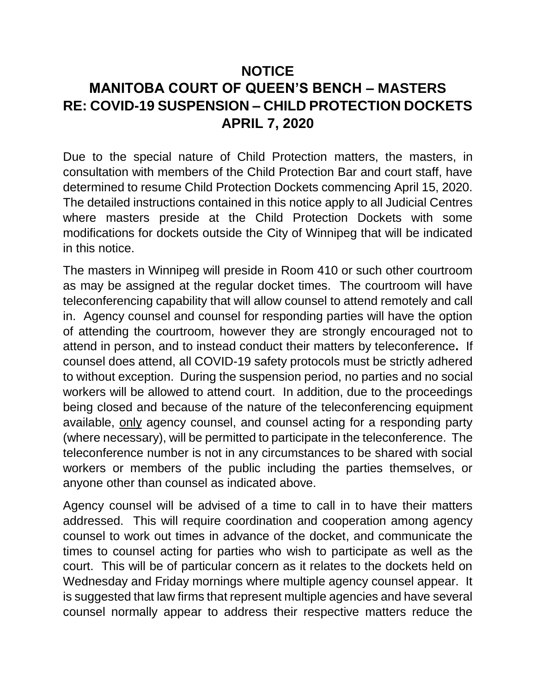### **NOTICE**

# **MANITOBA COURT OF QUEEN'S BENCH – MASTERS RE: COVID-19 SUSPENSION – CHILD PROTECTION DOCKETS APRIL 7, 2020**

Due to the special nature of Child Protection matters, the masters, in consultation with members of the Child Protection Bar and court staff, have determined to resume Child Protection Dockets commencing April 15, 2020. The detailed instructions contained in this notice apply to all Judicial Centres where masters preside at the Child Protection Dockets with some modifications for dockets outside the City of Winnipeg that will be indicated in this notice.

The masters in Winnipeg will preside in Room 410 or such other courtroom as may be assigned at the regular docket times. The courtroom will have teleconferencing capability that will allow counsel to attend remotely and call in. Agency counsel and counsel for responding parties will have the option of attending the courtroom, however they are strongly encouraged not to attend in person, and to instead conduct their matters by teleconference**.** If counsel does attend, all COVID-19 safety protocols must be strictly adhered to without exception. During the suspension period, no parties and no social workers will be allowed to attend court. In addition, due to the proceedings being closed and because of the nature of the teleconferencing equipment available, only agency counsel, and counsel acting for a responding party (where necessary), will be permitted to participate in the teleconference. The teleconference number is not in any circumstances to be shared with social workers or members of the public including the parties themselves, or anyone other than counsel as indicated above.

Agency counsel will be advised of a time to call in to have their matters addressed. This will require coordination and cooperation among agency counsel to work out times in advance of the docket, and communicate the times to counsel acting for parties who wish to participate as well as the court. This will be of particular concern as it relates to the dockets held on Wednesday and Friday mornings where multiple agency counsel appear. It is suggested that law firms that represent multiple agencies and have several counsel normally appear to address their respective matters reduce the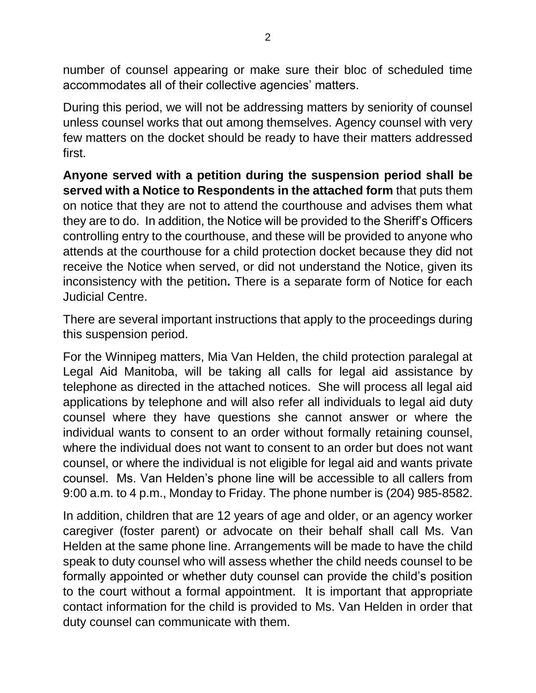number of counsel appearing or make sure their bloc of scheduled time accommodates all of their collective agencies' matters.

During this period, we will not be addressing matters by seniority of counsel unless counsel works that out among themselves. Agency counsel with very few matters on the docket should be ready to have their matters addressed first.

**Anyone served with a petition during the suspension period shall be served with a Notice to Respondents in the attached form** that puts them on notice that they are not to attend the courthouse and advises them what they are to do. In addition, the Notice will be provided to the Sheriff's Officers controlling entry to the courthouse, and these will be provided to anyone who attends at the courthouse for a child protection docket because they did not receive the Notice when served, or did not understand the Notice, given its inconsistency with the petition**.** There is a separate form of Notice for each Judicial Centre.

There are several important instructions that apply to the proceedings during this suspension period.

For the Winnipeg matters, Mia Van Helden, the child protection paralegal at Legal Aid Manitoba, will be taking all calls for legal aid assistance by telephone as directed in the attached notices. She will process all legal aid applications by telephone and will also refer all individuals to legal aid duty counsel where they have questions she cannot answer or where the individual wants to consent to an order without formally retaining counsel, where the individual does not want to consent to an order but does not want counsel, or where the individual is not eligible for legal aid and wants private counsel. Ms. Van Helden's phone line will be accessible to all callers from 9:00 a.m. to 4 p.m., Monday to Friday. The phone number is (204) 985-8582.

In addition, children that are 12 years of age and older, or an agency worker caregiver (foster parent) or advocate on their behalf shall call Ms. Van Helden at the same phone line. Arrangements will be made to have the child speak to duty counsel who will assess whether the child needs counsel to be formally appointed or whether duty counsel can provide the child's position to the court without a formal appointment. It is important that appropriate contact information for the child is provided to Ms. Van Helden in order that duty counsel can communicate with them.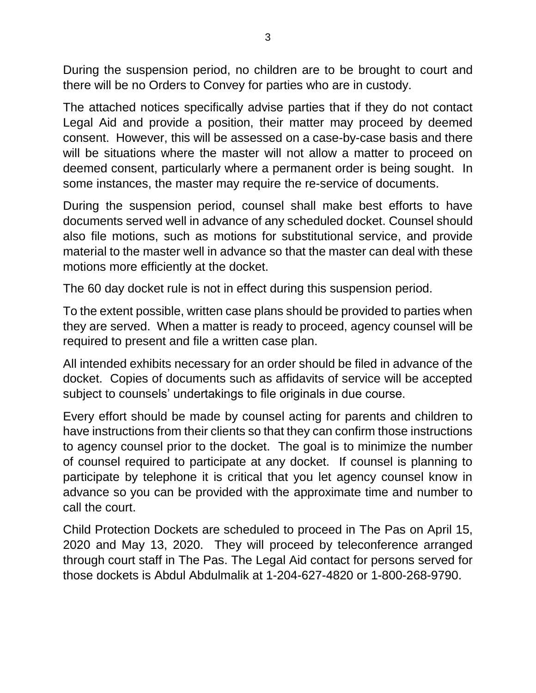During the suspension period, no children are to be brought to court and there will be no Orders to Convey for parties who are in custody.

The attached notices specifically advise parties that if they do not contact Legal Aid and provide a position, their matter may proceed by deemed consent. However, this will be assessed on a case-by-case basis and there will be situations where the master will not allow a matter to proceed on deemed consent, particularly where a permanent order is being sought. In some instances, the master may require the re-service of documents.

During the suspension period, counsel shall make best efforts to have documents served well in advance of any scheduled docket. Counsel should also file motions, such as motions for substitutional service, and provide material to the master well in advance so that the master can deal with these motions more efficiently at the docket.

The 60 day docket rule is not in effect during this suspension period.

To the extent possible, written case plans should be provided to parties when they are served. When a matter is ready to proceed, agency counsel will be required to present and file a written case plan.

All intended exhibits necessary for an order should be filed in advance of the docket. Copies of documents such as affidavits of service will be accepted subject to counsels' undertakings to file originals in due course.

Every effort should be made by counsel acting for parents and children to have instructions from their clients so that they can confirm those instructions to agency counsel prior to the docket. The goal is to minimize the number of counsel required to participate at any docket. If counsel is planning to participate by telephone it is critical that you let agency counsel know in advance so you can be provided with the approximate time and number to call the court.

Child Protection Dockets are scheduled to proceed in The Pas on April 15, 2020 and May 13, 2020. They will proceed by teleconference arranged through court staff in The Pas. The Legal Aid contact for persons served for those dockets is Abdul Abdulmalik at 1-204-627-4820 or 1-800-268-9790.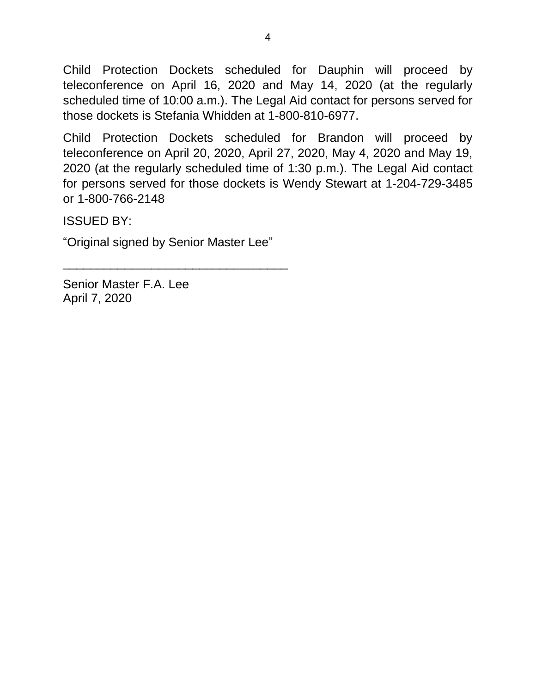Child Protection Dockets scheduled for Dauphin will proceed by teleconference on April 16, 2020 and May 14, 2020 (at the regularly scheduled time of 10:00 a.m.). The Legal Aid contact for persons served for those dockets is Stefania Whidden at 1-800-810-6977.

Child Protection Dockets scheduled for Brandon will proceed by teleconference on April 20, 2020, April 27, 2020, May 4, 2020 and May 19, 2020 (at the regularly scheduled time of 1:30 p.m.). The Legal Aid contact for persons served for those dockets is Wendy Stewart at 1-204-729-3485 or 1-800-766-2148

ISSUED BY:

"Original signed by Senior Master Lee"

\_\_\_\_\_\_\_\_\_\_\_\_\_\_\_\_\_\_\_\_\_\_\_\_\_\_\_\_\_\_\_\_\_

Senior Master F.A. Lee April 7, 2020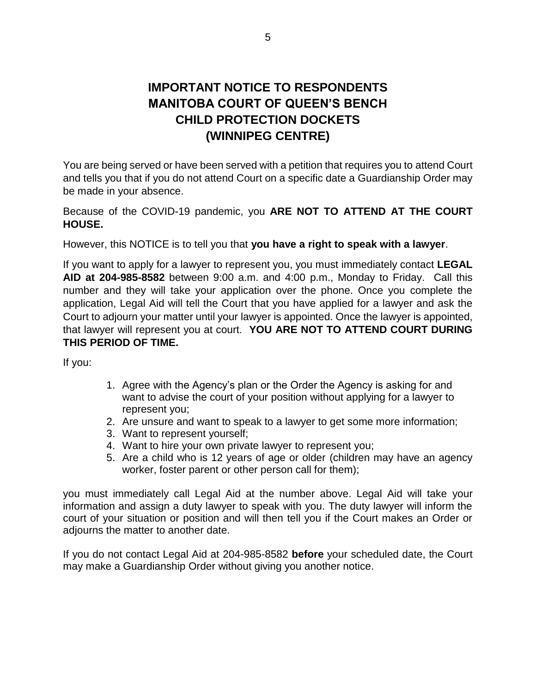### **IMPORTANT NOTICE TO RESPONDENTS MANITOBA COURT OF QUEEN'S BENCH CHILD PROTECTION DOCKETS (WINNIPEG CENTRE)**

You are being served or have been served with a petition that requires you to attend Court and tells you that if you do not attend Court on a specific date a Guardianship Order may be made in your absence.

Because of the COVID-19 pandemic, you **ARE NOT TO ATTEND AT THE COURT HOUSE.** 

However, this NOTICE is to tell you that **you have a right to speak with a lawyer**.

If you want to apply for a lawyer to represent you, you must immediately contact **LEGAL AID at 204-985-8582** between 9:00 a.m. and 4:00 p.m., Monday to Friday. Call this number and they will take your application over the phone. Once you complete the application, Legal Aid will tell the Court that you have applied for a lawyer and ask the Court to adjourn your matter until your lawyer is appointed. Once the lawyer is appointed, that lawyer will represent you at court. **YOU ARE NOT TO ATTEND COURT DURING THIS PERIOD OF TIME.** 

If you:

- 1. Agree with the Agency's plan or the Order the Agency is asking for and want to advise the court of your position without applying for a lawyer to represent you;
- 2. Are unsure and want to speak to a lawyer to get some more information;
- 3. Want to represent yourself;
- 4. Want to hire your own private lawyer to represent you;
- 5. Are a child who is 12 years of age or older (children may have an agency worker, foster parent or other person call for them);

you must immediately call Legal Aid at the number above. Legal Aid will take your information and assign a duty lawyer to speak with you. The duty lawyer will inform the court of your situation or position and will then tell you if the Court makes an Order or adjourns the matter to another date.

If you do not contact Legal Aid at 204-985-8582 **before** your scheduled date, the Court may make a Guardianship Order without giving you another notice.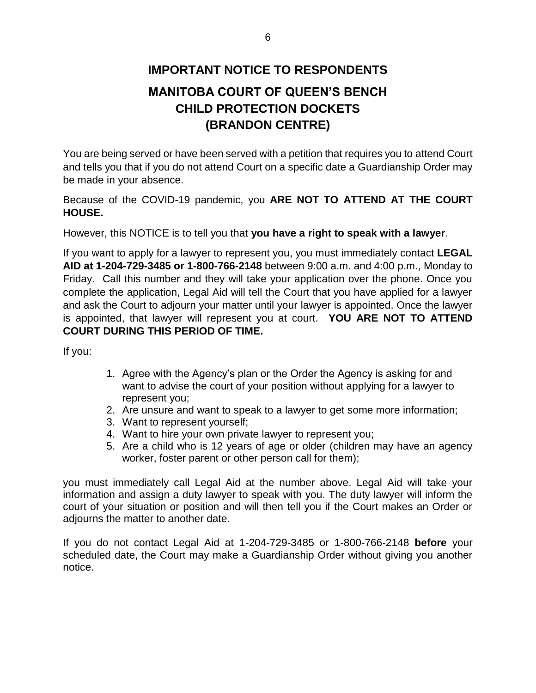## **IMPORTANT NOTICE TO RESPONDENTS MANITOBA COURT OF QUEEN'S BENCH CHILD PROTECTION DOCKETS (BRANDON CENTRE)**

You are being served or have been served with a petition that requires you to attend Court and tells you that if you do not attend Court on a specific date a Guardianship Order may be made in your absence.

Because of the COVID-19 pandemic, you **ARE NOT TO ATTEND AT THE COURT HOUSE.** 

However, this NOTICE is to tell you that **you have a right to speak with a lawyer**.

If you want to apply for a lawyer to represent you, you must immediately contact **LEGAL AID at 1-204-729-3485 or 1-800-766-2148** between 9:00 a.m. and 4:00 p.m., Monday to Friday. Call this number and they will take your application over the phone. Once you complete the application, Legal Aid will tell the Court that you have applied for a lawyer and ask the Court to adjourn your matter until your lawyer is appointed. Once the lawyer is appointed, that lawyer will represent you at court. **YOU ARE NOT TO ATTEND COURT DURING THIS PERIOD OF TIME.** 

If you:

- 1. Agree with the Agency's plan or the Order the Agency is asking for and want to advise the court of your position without applying for a lawyer to represent you;
- 2. Are unsure and want to speak to a lawyer to get some more information;
- 3. Want to represent yourself;
- 4. Want to hire your own private lawyer to represent you;
- 5. Are a child who is 12 years of age or older (children may have an agency worker, foster parent or other person call for them);

you must immediately call Legal Aid at the number above. Legal Aid will take your information and assign a duty lawyer to speak with you. The duty lawyer will inform the court of your situation or position and will then tell you if the Court makes an Order or adjourns the matter to another date.

If you do not contact Legal Aid at 1-204-729-3485 or 1-800-766-2148 **before** your scheduled date, the Court may make a Guardianship Order without giving you another notice.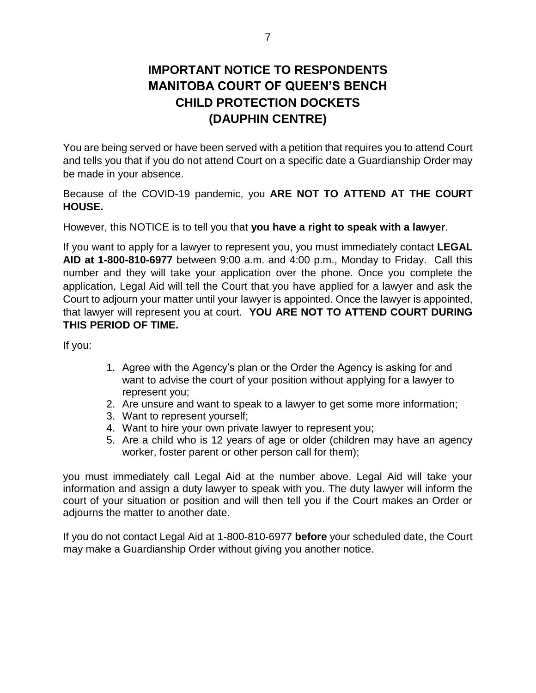### **IMPORTANT NOTICE TO RESPONDENTS MANITOBA COURT OF QUEEN'S BENCH CHILD PROTECTION DOCKETS (DAUPHIN CENTRE)**

You are being served or have been served with a petition that requires you to attend Court and tells you that if you do not attend Court on a specific date a Guardianship Order may be made in your absence.

Because of the COVID-19 pandemic, you **ARE NOT TO ATTEND AT THE COURT HOUSE.** 

However, this NOTICE is to tell you that **you have a right to speak with a lawyer**.

If you want to apply for a lawyer to represent you, you must immediately contact **LEGAL AID at 1-800-810-6977** between 9:00 a.m. and 4:00 p.m., Monday to Friday. Call this number and they will take your application over the phone. Once you complete the application, Legal Aid will tell the Court that you have applied for a lawyer and ask the Court to adjourn your matter until your lawyer is appointed. Once the lawyer is appointed, that lawyer will represent you at court. **YOU ARE NOT TO ATTEND COURT DURING THIS PERIOD OF TIME.** 

If you:

- 1. Agree with the Agency's plan or the Order the Agency is asking for and want to advise the court of your position without applying for a lawyer to represent you;
- 2. Are unsure and want to speak to a lawyer to get some more information;
- 3. Want to represent yourself;
- 4. Want to hire your own private lawyer to represent you;
- 5. Are a child who is 12 years of age or older (children may have an agency worker, foster parent or other person call for them);

you must immediately call Legal Aid at the number above. Legal Aid will take your information and assign a duty lawyer to speak with you. The duty lawyer will inform the court of your situation or position and will then tell you if the Court makes an Order or adjourns the matter to another date.

If you do not contact Legal Aid at 1-800-810-6977 **before** your scheduled date, the Court may make a Guardianship Order without giving you another notice.